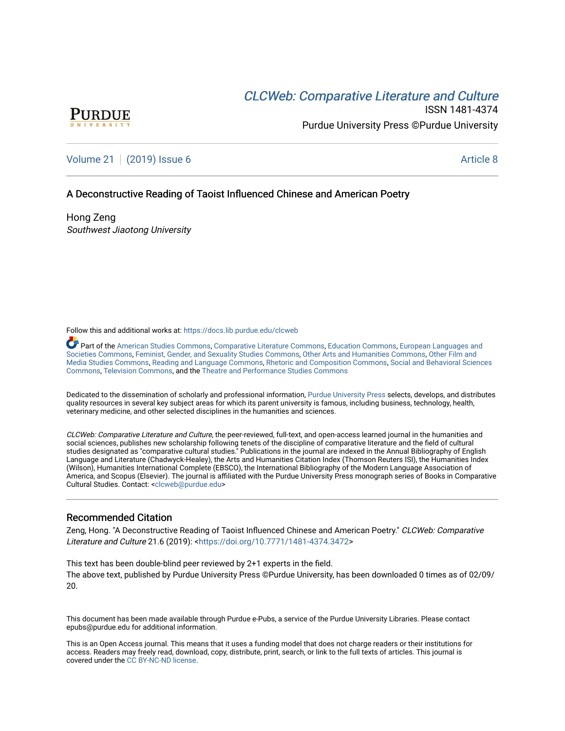# CLCW[eb: Comparative Liter](https://docs.lib.purdue.edu/clcweb)ature and Culture



ISSN 1481-4374 Purdue University Press ©Purdue University

# [Volume 21](https://docs.lib.purdue.edu/clcweb/vol21) | [\(2019\) Issue 6](https://docs.lib.purdue.edu/clcweb/vol21/iss6) Article 8

## A Deconstructive Reading of Taoist Influenced Chinese and American Poetry

Hong Zeng Southwest Jiaotong University

Follow this and additional works at: [https://docs.lib.purdue.edu/clcweb](https://docs.lib.purdue.edu/clcweb?utm_source=docs.lib.purdue.edu%2Fclcweb%2Fvol21%2Fiss6%2F8&utm_medium=PDF&utm_campaign=PDFCoverPages)

Part of the [American Studies Commons](http://network.bepress.com/hgg/discipline/439?utm_source=docs.lib.purdue.edu%2Fclcweb%2Fvol21%2Fiss6%2F8&utm_medium=PDF&utm_campaign=PDFCoverPages), [Comparative Literature Commons,](http://network.bepress.com/hgg/discipline/454?utm_source=docs.lib.purdue.edu%2Fclcweb%2Fvol21%2Fiss6%2F8&utm_medium=PDF&utm_campaign=PDFCoverPages) [Education Commons,](http://network.bepress.com/hgg/discipline/784?utm_source=docs.lib.purdue.edu%2Fclcweb%2Fvol21%2Fiss6%2F8&utm_medium=PDF&utm_campaign=PDFCoverPages) [European Languages and](http://network.bepress.com/hgg/discipline/482?utm_source=docs.lib.purdue.edu%2Fclcweb%2Fvol21%2Fiss6%2F8&utm_medium=PDF&utm_campaign=PDFCoverPages) [Societies Commons](http://network.bepress.com/hgg/discipline/482?utm_source=docs.lib.purdue.edu%2Fclcweb%2Fvol21%2Fiss6%2F8&utm_medium=PDF&utm_campaign=PDFCoverPages), [Feminist, Gender, and Sexuality Studies Commons,](http://network.bepress.com/hgg/discipline/559?utm_source=docs.lib.purdue.edu%2Fclcweb%2Fvol21%2Fiss6%2F8&utm_medium=PDF&utm_campaign=PDFCoverPages) [Other Arts and Humanities Commons](http://network.bepress.com/hgg/discipline/577?utm_source=docs.lib.purdue.edu%2Fclcweb%2Fvol21%2Fiss6%2F8&utm_medium=PDF&utm_campaign=PDFCoverPages), [Other Film and](http://network.bepress.com/hgg/discipline/565?utm_source=docs.lib.purdue.edu%2Fclcweb%2Fvol21%2Fiss6%2F8&utm_medium=PDF&utm_campaign=PDFCoverPages)  [Media Studies Commons](http://network.bepress.com/hgg/discipline/565?utm_source=docs.lib.purdue.edu%2Fclcweb%2Fvol21%2Fiss6%2F8&utm_medium=PDF&utm_campaign=PDFCoverPages), [Reading and Language Commons](http://network.bepress.com/hgg/discipline/1037?utm_source=docs.lib.purdue.edu%2Fclcweb%2Fvol21%2Fiss6%2F8&utm_medium=PDF&utm_campaign=PDFCoverPages), [Rhetoric and Composition Commons,](http://network.bepress.com/hgg/discipline/573?utm_source=docs.lib.purdue.edu%2Fclcweb%2Fvol21%2Fiss6%2F8&utm_medium=PDF&utm_campaign=PDFCoverPages) [Social and Behavioral Sciences](http://network.bepress.com/hgg/discipline/316?utm_source=docs.lib.purdue.edu%2Fclcweb%2Fvol21%2Fiss6%2F8&utm_medium=PDF&utm_campaign=PDFCoverPages) [Commons,](http://network.bepress.com/hgg/discipline/316?utm_source=docs.lib.purdue.edu%2Fclcweb%2Fvol21%2Fiss6%2F8&utm_medium=PDF&utm_campaign=PDFCoverPages) [Television Commons,](http://network.bepress.com/hgg/discipline/1143?utm_source=docs.lib.purdue.edu%2Fclcweb%2Fvol21%2Fiss6%2F8&utm_medium=PDF&utm_campaign=PDFCoverPages) and the [Theatre and Performance Studies Commons](http://network.bepress.com/hgg/discipline/552?utm_source=docs.lib.purdue.edu%2Fclcweb%2Fvol21%2Fiss6%2F8&utm_medium=PDF&utm_campaign=PDFCoverPages)

Dedicated to the dissemination of scholarly and professional information, [Purdue University Press](http://www.thepress.purdue.edu/) selects, develops, and distributes quality resources in several key subject areas for which its parent university is famous, including business, technology, health, veterinary medicine, and other selected disciplines in the humanities and sciences.

CLCWeb: Comparative Literature and Culture, the peer-reviewed, full-text, and open-access learned journal in the humanities and social sciences, publishes new scholarship following tenets of the discipline of comparative literature and the field of cultural studies designated as "comparative cultural studies." Publications in the journal are indexed in the Annual Bibliography of English Language and Literature (Chadwyck-Healey), the Arts and Humanities Citation Index (Thomson Reuters ISI), the Humanities Index (Wilson), Humanities International Complete (EBSCO), the International Bibliography of the Modern Language Association of America, and Scopus (Elsevier). The journal is affiliated with the Purdue University Press monograph series of Books in Comparative Cultural Studies. Contact: [<clcweb@purdue.edu](mailto:clcweb@purdue.edu)>

## Recommended Citation

Zeng, Hong. "A Deconstructive Reading of Taoist Influenced Chinese and American Poetry." CLCWeb: Comparative Literature and Culture 21.6 (2019): <<https://doi.org/10.7771/1481-4374.3472>>

This text has been double-blind peer reviewed by 2+1 experts in the field. The above text, published by Purdue University Press ©Purdue University, has been downloaded 0 times as of 02/09/ 20.

This document has been made available through Purdue e-Pubs, a service of the Purdue University Libraries. Please contact epubs@purdue.edu for additional information.

This is an Open Access journal. This means that it uses a funding model that does not charge readers or their institutions for access. Readers may freely read, download, copy, distribute, print, search, or link to the full texts of articles. This journal is covered under the [CC BY-NC-ND license.](https://creativecommons.org/licenses/by-nc-nd/4.0/)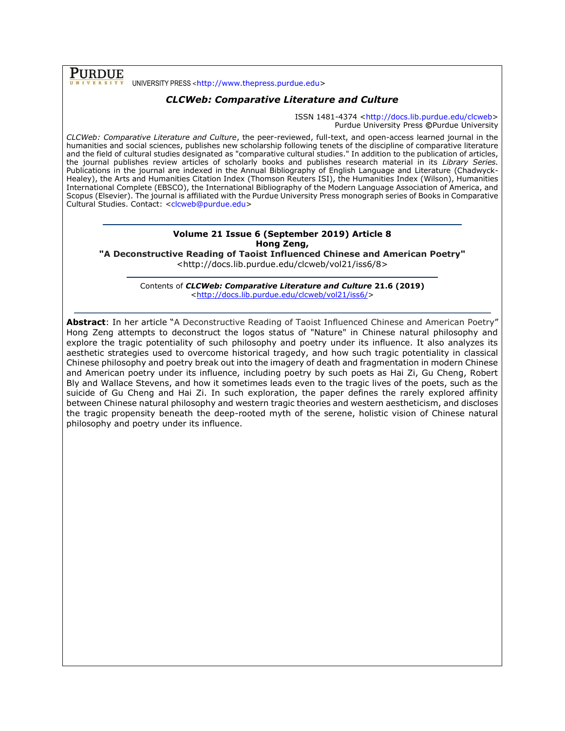**PURDUE** UNIVERSITY PRESS <[http://www.thepress.purdue.edu>](http://www.thepress.purdue.edu/)

# *CLCWeb: Comparative Literature and Culture*

ISSN 1481-4374 [<http://docs.lib.purdue.edu/clcweb>](http://docs.lib.purdue.edu/clcweb) Purdue University Press **©**Purdue University

*CLCWeb: Comparative Literature and Culture*, the peer-reviewed, full-text, and open-access learned journal in the humanities and social sciences, publishes new scholarship following tenets of the discipline of comparative literature and the field of cultural studies designated as "comparative cultural studies." In addition to the publication of articles, the journal publishes review articles of scholarly books and publishes research material in its *Library Series.*  Publications in the journal are indexed in the Annual Bibliography of English Language and Literature (Chadwyck-Healey), the Arts and Humanities Citation Index (Thomson Reuters ISI), the Humanities Index (Wilson), Humanities International Complete (EBSCO), the International Bibliography of the Modern Language Association of America, and Scopus (Elsevier). The journal is affiliated with the Purdue University Press monograph series of Books in Comparative Cultural Studies. Contact: [<clcweb@purdue.edu>](mailto:clcweb@purdue.edu)

#### **Volume 21 Issue 6 (September 2019) Article 8 Hong Zeng,**

**"A Deconstructive Reading of Taoist Influenced Chinese and American Poetry"**

<http://docs.lib.purdue.edu/clcweb/vol21/iss6/8>

Contents of *CLCWeb: Comparative Literature and Culture* **21.6 (2019)** [<http://docs.lib.purdue.edu/clcweb/vol21/iss6/>](http://docs.lib.purdue.edu/clcweb/vol21/iss6/)

**Abstract**: In her article "A Deconstructive Reading of Taoist Influenced Chinese and American Poetry" Hong Zeng attempts to deconstruct the logos status of "Nature" in Chinese natural philosophy and explore the tragic potentiality of such philosophy and poetry under its influence. It also analyzes its aesthetic strategies used to overcome historical tragedy, and how such tragic potentiality in classical Chinese philosophy and poetry break out into the imagery of death and fragmentation in modern Chinese and American poetry under its influence, including poetry by such poets as Hai Zi, Gu Cheng, Robert Bly and Wallace Stevens, and how it sometimes leads even to the tragic lives of the poets, such as the suicide of Gu Cheng and Hai Zi. In such exploration, the paper defines the rarely explored affinity between Chinese natural philosophy and western tragic theories and western aestheticism, and discloses the tragic propensity beneath the deep-rooted myth of the serene, holistic vision of Chinese natural philosophy and poetry under its influence.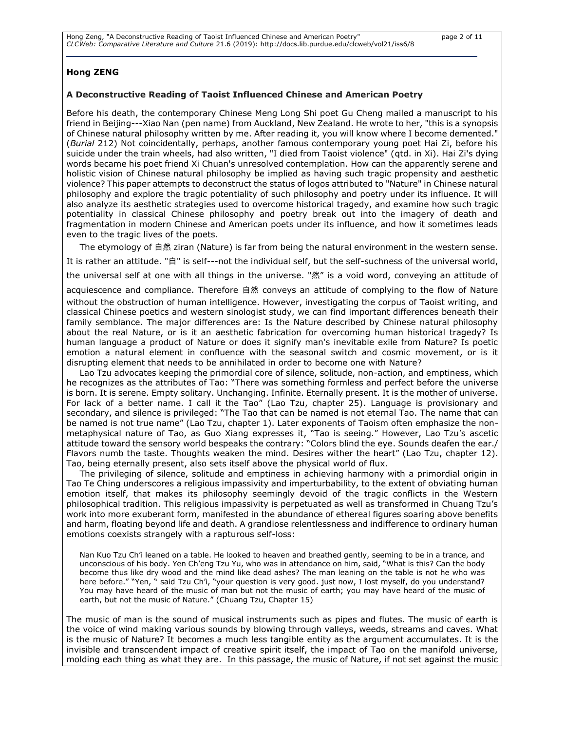#### **Hong ZENG**

#### **A Deconstructive Reading of Taoist Influenced Chinese and American Poetry**

Before his death, the contemporary Chinese Meng Long Shi poet Gu Cheng mailed a manuscript to his friend in Beijing---Xiao Nan (pen name) from Auckland, New Zealand. He wrote to her, "this is a synopsis of Chinese natural philosophy written by me. After reading it, you will know where I become demented." (*Burial* 212) Not coincidentally, perhaps, another famous contemporary young poet Hai Zi, before his suicide under the train wheels, had also written, "I died from Taoist violence" (qtd. in Xi). Hai Zi's dying words became his poet friend Xi Chuan's unresolved contemplation. How can the apparently serene and holistic vision of Chinese natural philosophy be implied as having such tragic propensity and aesthetic violence? This paper attempts to deconstruct the status of logos attributed to "Nature" in Chinese natural philosophy and explore the tragic potentiality of such philosophy and poetry under its influence. It will also analyze its aesthetic strategies used to overcome historical tragedy, and examine how such tragic potentiality in classical Chinese philosophy and poetry break out into the imagery of death and fragmentation in modern Chinese and American poets under its influence, and how it sometimes leads even to the tragic lives of the poets.

The etymology of 自然 ziran (Nature) is far from being the natural environment in the western sense. It is rather an attitude. "自" is self---not the individual self, but the self-suchness of the universal world, the universal self at one with all things in the universe. "然" is a void word, conveying an attitude of acquiescence and compliance. Therefore 自然 conveys an attitude of complying to the flow of Nature without the obstruction of human intelligence. However, investigating the corpus of Taoist writing, and classical Chinese poetics and western sinologist study, we can find important differences beneath their family semblance. The major differences are: Is the Nature described by Chinese natural philosophy about the real Nature, or is it an aesthetic fabrication for overcoming human historical tragedy? Is human language a product of Nature or does it signify man's inevitable exile from Nature? Is poetic emotion a natural element in confluence with the seasonal switch and cosmic movement, or is it disrupting element that needs to be annihilated in order to become one with Nature?

Lao Tzu advocates keeping the primordial core of silence, solitude, non-action, and emptiness, which he recognizes as the attributes of Tao: "There was something formless and perfect before the universe is born. It is serene. Empty solitary. Unchanging. Infinite. Eternally present. It is the mother of universe. For lack of a better name. I call it the Tao" (Lao Tzu, chapter 25). Language is provisionary and secondary, and silence is privileged: "The Tao that can be named is not eternal Tao. The name that can be named is not true name" (Lao Tzu, chapter 1). Later exponents of Taoism often emphasize the nonmetaphysical nature of Tao, as Guo Xiang expresses it, "Tao is seeing." However, Lao Tzu's ascetic attitude toward the sensory world bespeaks the contrary: "Colors blind the eye. Sounds deafen the ear./ Flavors numb the taste. Thoughts weaken the mind. Desires wither the heart" (Lao Tzu, chapter 12). Tao, being eternally present, also sets itself above the physical world of flux.

The privileging of silence, solitude and emptiness in achieving harmony with a primordial origin in Tao Te Ching underscores a religious impassivity and imperturbability, to the extent of obviating human emotion itself, that makes its philosophy seemingly devoid of the tragic conflicts in the Western philosophical tradition. This religious impassivity is perpetuated as well as transformed in Chuang Tzu's work into more exuberant form, manifested in the abundance of ethereal figures soaring above benefits and harm, floating beyond life and death. A grandiose relentlessness and indifference to ordinary human emotions coexists strangely with a rapturous self-loss:

Nan Kuo Tzu Ch'i leaned on a table. He looked to heaven and breathed gently, seeming to be in a trance, and unconscious of his body. Yen Ch'eng Tzu Yu, who was in attendance on him, said, "What is this? Can the body become thus like dry wood and the mind like dead ashes? The man leaning on the table is not he who was here before." "Yen, " said Tzu Ch'i, "your question is very good. just now, I lost myself, do you understand? You may have heard of the music of man but not the music of earth; you may have heard of the music of earth, but not the music of Nature." (Chuang Tzu, Chapter 15)

The music of man is the sound of musical instruments such as pipes and flutes. The music of earth is the voice of wind making various sounds by blowing through valleys, weeds, streams and caves. What is the music of Nature? It becomes a much less tangible entity as the argument accumulates. It is the invisible and transcendent impact of creative spirit itself, the impact of Tao on the manifold universe, molding each thing as what they are. In this passage, the music of Nature, if not set against the music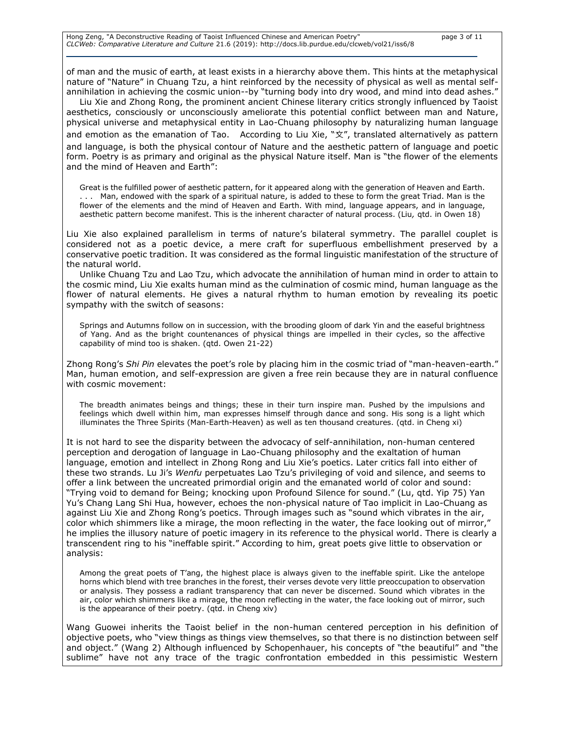of man and the music of earth, at least exists in a hierarchy above them. This hints at the metaphysical nature of "Nature" in Chuang Tzu, a hint reinforced by the necessity of physical as well as mental selfannihilation in achieving the cosmic union--by "turning body into dry wood, and mind into dead ashes."

Liu Xie and Zhong Rong, the prominent ancient Chinese literary critics strongly influenced by Taoist aesthetics, consciously or unconsciously ameliorate this potential conflict between man and Nature, physical universe and metaphysical entity in Lao-Chuang philosophy by naturalizing human language and emotion as the emanation of Tao. According to Liu Xie, "文", translated alternatively as pattern and language, is both the physical contour of Nature and the aesthetic pattern of language and poetic form. Poetry is as primary and original as the physical Nature itself. Man is "the flower of the elements and the mind of Heaven and Earth":

Great is the fulfilled power of aesthetic pattern, for it appeared along with the generation of Heaven and Earth. . . . Man, endowed with the spark of a spiritual nature, is added to these to form the great Triad. Man is the flower of the elements and the mind of Heaven and Earth. With mind, language appears, and in language, aesthetic pattern become manifest. This is the inherent character of natural process. (Liu*,* qtd. in Owen 18)

Liu Xie also explained parallelism in terms of nature's bilateral symmetry. The parallel couplet is considered not as a poetic device, a mere craft for superfluous embellishment preserved by a conservative poetic tradition. It was considered as the formal linguistic manifestation of the structure of the natural world.

Unlike Chuang Tzu and Lao Tzu, which advocate the annihilation of human mind in order to attain to the cosmic mind, Liu Xie exalts human mind as the culmination of cosmic mind, human language as the flower of natural elements. He gives a natural rhythm to human emotion by revealing its poetic sympathy with the switch of seasons:

Springs and Autumns follow on in succession, with the brooding gloom of dark Yin and the easeful brightness of Yang. And as the bright countenances of physical things are impelled in their cycles, so the affective capability of mind too is shaken. (qtd. Owen 21-22)

Zhong Rong's *Shi Pin* elevates the poet's role by placing him in the cosmic triad of "man-heaven-earth." Man, human emotion, and self-expression are given a free rein because they are in natural confluence with cosmic movement:

The breadth animates beings and things; these in their turn inspire man. Pushed by the impulsions and feelings which dwell within him, man expresses himself through dance and song. His song is a light which illuminates the Three Spirits (Man-Earth-Heaven) as well as ten thousand creatures. (qtd. in Cheng xi)

It is not hard to see the disparity between the advocacy of self-annihilation, non-human centered perception and derogation of language in Lao-Chuang philosophy and the exaltation of human language, emotion and intellect in Zhong Rong and Liu Xie's poetics. Later critics fall into either of these two strands. Lu Ji's *Wenfu* perpetuates Lao Tzu's privileging of void and silence, and seems to offer a link between the uncreated primordial origin and the emanated world of color and sound: "Trying void to demand for Being; knocking upon Profound Silence for sound." (Lu, qtd. Yip 75) Yan Yu's Chang Lang Shi Hua, however, echoes the non-physical nature of Tao implicit in Lao-Chuang as against Liu Xie and Zhong Rong's poetics. Through images such as "sound which vibrates in the air, color which shimmers like a mirage, the moon reflecting in the water, the face looking out of mirror," he implies the illusory nature of poetic imagery in its reference to the physical world. There is clearly a transcendent ring to his "ineffable spirit." According to him, great poets give little to observation or analysis:

Among the great poets of T'ang, the highest place is always given to the ineffable spirit. Like the antelope horns which blend with tree branches in the forest, their verses devote very little preoccupation to observation or analysis. They possess a radiant transparency that can never be discerned. Sound which vibrates in the air, color which shimmers like a mirage, the moon reflecting in the water, the face looking out of mirror, such is the appearance of their poetry. (qtd. in Cheng xiv)

Wang Guowei inherits the Taoist belief in the non-human centered perception in his definition of objective poets, who "view things as things view themselves, so that there is no distinction between self and object." (Wang 2) Although influenced by Schopenhauer, his concepts of "the beautiful" and "the sublime" have not any trace of the tragic confrontation embedded in this pessimistic Western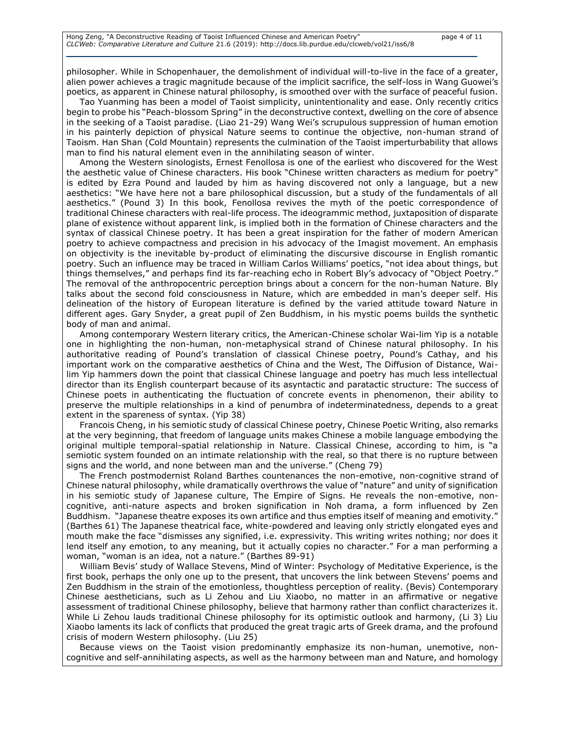philosopher. While in Schopenhauer, the demolishment of individual will-to-live in the face of a greater, alien power achieves a tragic magnitude because of the implicit sacrifice, the self-loss in Wang Guowei's poetics, as apparent in Chinese natural philosophy, is smoothed over with the surface of peaceful fusion.

Tao Yuanming has been a model of Taoist simplicity, unintentionality and ease. Only recently critics begin to probe his "Peach-blossom Spring" in the deconstructive context, dwelling on the core of absence in the seeking of a Taoist paradise. (Liao 21-29) Wang Wei's scrupulous suppression of human emotion in his painterly depiction of physical Nature seems to continue the objective, non-human strand of Taoism. Han Shan (Cold Mountain) represents the culmination of the Taoist imperturbability that allows man to find his natural element even in the annihilating season of winter.

Among the Western sinologists, Ernest Fenollosa is one of the earliest who discovered for the West the aesthetic value of Chinese characters. His book "Chinese written characters as medium for poetry" is edited by Ezra Pound and lauded by him as having discovered not only a language, but a new aesthetics: "We have here not a bare philosophical discussion, but a study of the fundamentals of all aesthetics." (Pound 3) In this book, Fenollosa revives the myth of the poetic correspondence of traditional Chinese characters with real-life process. The ideogrammic method, juxtaposition of disparate plane of existence without apparent link, is implied both in the formation of Chinese characters and the syntax of classical Chinese poetry. It has been a great inspiration for the father of modern American poetry to achieve compactness and precision in his advocacy of the Imagist movement. An emphasis on objectivity is the inevitable by-product of eliminating the discursive discourse in English romantic poetry. Such an influence may be traced in William Carlos Williams' poetics, "not idea about things, but things themselves," and perhaps find its far-reaching echo in Robert Bly's advocacy of "Object Poetry." The removal of the anthropocentric perception brings about a concern for the non-human Nature. Bly talks about the second fold consciousness in Nature, which are embedded in man's deeper self. His delineation of the history of European literature is defined by the varied attitude toward Nature in different ages. Gary Snyder, a great pupil of Zen Buddhism, in his mystic poems builds the synthetic body of man and animal.

Among contemporary Western literary critics, the American-Chinese scholar Wai-lim Yip is a notable one in highlighting the non-human, non-metaphysical strand of Chinese natural philosophy. In his authoritative reading of Pound's translation of classical Chinese poetry, Pound's Cathay, and his important work on the comparative aesthetics of China and the West, The Diffusion of Distance, Wailim Yip hammers down the point that classical Chinese language and poetry has much less intellectual director than its English counterpart because of its asyntactic and paratactic structure: The success of Chinese poets in authenticating the fluctuation of concrete events in phenomenon, their ability to preserve the multiple relationships in a kind of penumbra of indeterminatedness, depends to a great extent in the spareness of syntax. (Yip 38)

Francois Cheng, in his semiotic study of classical Chinese poetry, Chinese Poetic Writing, also remarks at the very beginning, that freedom of language units makes Chinese a mobile language embodying the original multiple temporal-spatial relationship in Nature. Classical Chinese, according to him, is "a semiotic system founded on an intimate relationship with the real, so that there is no rupture between signs and the world, and none between man and the universe." (Cheng 79)

The French postmodernist Roland Barthes countenances the non-emotive, non-cognitive strand of Chinese natural philosophy, while dramatically overthrows the value of "nature" and unity of signification in his semiotic study of Japanese culture, The Empire of Signs. He reveals the non-emotive, noncognitive, anti-nature aspects and broken signification in Noh drama, a form influenced by Zen Buddhism. "Japanese theatre exposes its own artifice and thus empties itself of meaning and emotivity." (Barthes 61) The Japanese theatrical face, white-powdered and leaving only strictly elongated eyes and mouth make the face "dismisses any signified, i.e. expressivity. This writing writes nothing; nor does it lend itself any emotion, to any meaning, but it actually copies no character." For a man performing a woman, "woman is an idea, not a nature." (Barthes 89-91)

William Bevis' study of Wallace Stevens, Mind of Winter: Psychology of Meditative Experience, is the first book, perhaps the only one up to the present, that uncovers the link between Stevens' poems and Zen Buddhism in the strain of the emotionless, thoughtless perception of reality. (Bevis) Contemporary Chinese aestheticians, such as Li Zehou and Liu Xiaobo, no matter in an affirmative or negative assessment of traditional Chinese philosophy, believe that harmony rather than conflict characterizes it. While Li Zehou lauds traditional Chinese philosophy for its optimistic outlook and harmony, (Li 3) Liu Xiaobo laments its lack of conflicts that produced the great tragic arts of Greek drama, and the profound crisis of modern Western philosophy. (Liu 25)

Because views on the Taoist vision predominantly emphasize its non-human, unemotive, noncognitive and self-annihilating aspects, as well as the harmony between man and Nature, and homology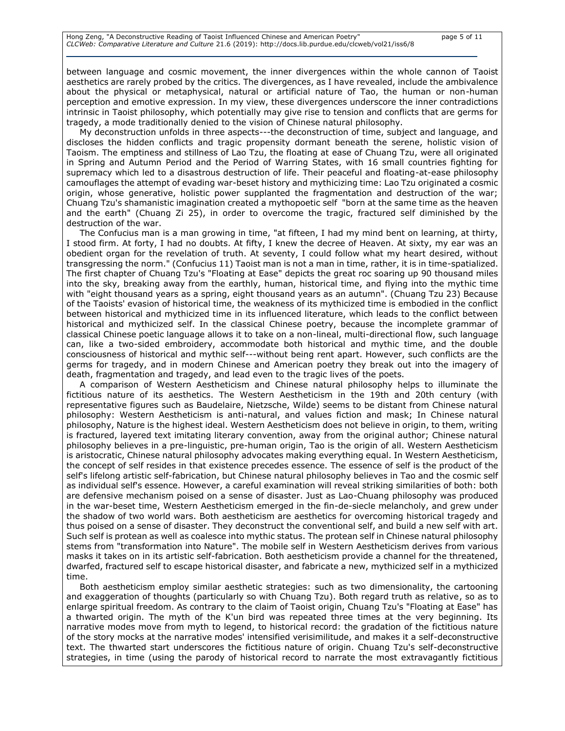between language and cosmic movement, the inner divergences within the whole cannon of Taoist aesthetics are rarely probed by the critics. The divergences, as I have revealed, include the ambivalence about the physical or metaphysical, natural or artificial nature of Tao, the human or non-human perception and emotive expression. In my view, these divergences underscore the inner contradictions intrinsic in Taoist philosophy, which potentially may give rise to tension and conflicts that are germs for tragedy, a mode traditionally denied to the vision of Chinese natural philosophy.

My deconstruction unfolds in three aspects---the deconstruction of time, subject and language, and discloses the hidden conflicts and tragic propensity dormant beneath the serene, holistic vision of Taoism. The emptiness and stillness of Lao Tzu, the floating at ease of Chuang Tzu, were all originated in Spring and Autumn Period and the Period of Warring States, with 16 small countries fighting for supremacy which led to a disastrous destruction of life. Their peaceful and floating-at-ease philosophy camouflages the attempt of evading war-beset history and mythicizing time: Lao Tzu originated a cosmic origin, whose generative, holistic power supplanted the fragmentation and destruction of the war; Chuang Tzu's shamanistic imagination created a mythopoetic self "born at the same time as the heaven and the earth" (Chuang Zi 25), in order to overcome the tragic, fractured self diminished by the destruction of the war.

The Confucius man is a man growing in time, "at fifteen, I had my mind bent on learning, at thirty, I stood firm. At forty, I had no doubts. At fifty, I knew the decree of Heaven. At sixty, my ear was an obedient organ for the revelation of truth. At seventy, I could follow what my heart desired, without transgressing the norm." (Confucius 11) Taoist man is not a man in time, rather, it is in time-spatialized. The first chapter of Chuang Tzu's "Floating at Ease" depicts the great roc soaring up 90 thousand miles into the sky, breaking away from the earthly, human, historical time, and flying into the mythic time with "eight thousand years as a spring, eight thousand years as an autumn". (Chuang Tzu 23) Because of the Taoists' evasion of historical time, the weakness of its mythicized time is embodied in the conflict between historical and mythicized time in its influenced literature, which leads to the conflict between historical and mythicized self. In the classical Chinese poetry, because the incomplete grammar of classical Chinese poetic language allows it to take on a non-lineal, multi-directional flow, such language can, like a two-sided embroidery, accommodate both historical and mythic time, and the double consciousness of historical and mythic self---without being rent apart. However, such conflicts are the germs for tragedy, and in modern Chinese and American poetry they break out into the imagery of death, fragmentation and tragedy, and lead even to the tragic lives of the poets.

A comparison of Western Aestheticism and Chinese natural philosophy helps to illuminate the fictitious nature of its aesthetics. The Western Aestheticism in the 19th and 20th century (with representative figures such as Baudelaire, Nietzsche, Wilde) seems to be distant from Chinese natural philosophy: Western Aestheticism is anti-natural, and values fiction and mask; In Chinese natural philosophy, Nature is the highest ideal. Western Aestheticism does not believe in origin, to them, writing is fractured, layered text imitating literary convention, away from the original author; Chinese natural philosophy believes in a pre-linguistic, pre-human origin, Tao is the origin of all. Western Aestheticism is aristocratic, Chinese natural philosophy advocates making everything equal. In Western Aestheticism, the concept of self resides in that existence precedes essence. The essence of self is the product of the self's lifelong artistic self-fabrication, but Chinese natural philosophy believes in Tao and the cosmic self as individual self's essence. However, a careful examination will reveal striking similarities of both: both are defensive mechanism poised on a sense of disaster. Just as Lao-Chuang philosophy was produced in the war-beset time, Western Aestheticism emerged in the fin-de-siecle melancholy, and grew under the shadow of two world wars. Both aestheticism are aesthetics for overcoming historical tragedy and thus poised on a sense of disaster. They deconstruct the conventional self, and build a new self with art. Such self is protean as well as coalesce into mythic status. The protean self in Chinese natural philosophy stems from "transformation into Nature". The mobile self in Western Aestheticism derives from various masks it takes on in its artistic self-fabrication. Both aestheticism provide a channel for the threatened, dwarfed, fractured self to escape historical disaster, and fabricate a new, mythicized self in a mythicized time.

Both aestheticism employ similar aesthetic strategies: such as two dimensionality, the cartooning and exaggeration of thoughts (particularly so with Chuang Tzu). Both regard truth as relative, so as to enlarge spiritual freedom. As contrary to the claim of Taoist origin, Chuang Tzu's "Floating at Ease" has a thwarted origin. The myth of the K'un bird was repeated three times at the very beginning. Its narrative modes move from myth to legend, to historical record: the gradation of the fictitious nature of the story mocks at the narrative modes' intensified verisimilitude, and makes it a self-deconstructive text. The thwarted start underscores the fictitious nature of origin. Chuang Tzu's self-deconstructive strategies, in time (using the parody of historical record to narrate the most extravagantly fictitious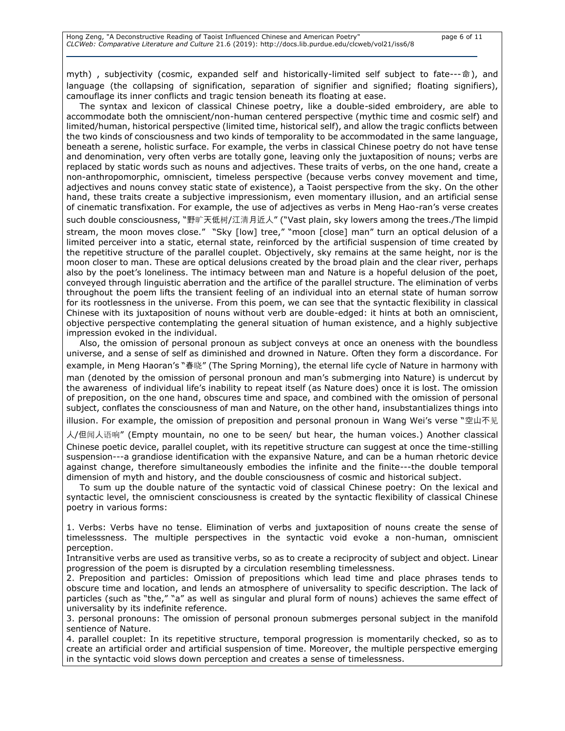myth) , subjectivity (cosmic, expanded self and historically-limited self subject to fate---命), and language (the collapsing of signification, separation of signifier and signified; floating signifiers), camouflage its inner conflicts and tragic tension beneath its floating at ease.

The syntax and lexicon of classical Chinese poetry, like a double-sided embroidery, are able to accommodate both the omniscient/non-human centered perspective (mythic time and cosmic self) and limited/human, historical perspective (limited time, historical self), and allow the tragic conflicts between the two kinds of consciousness and two kinds of temporality to be accommodated in the same language, beneath a serene, holistic surface. For example, the verbs in classical Chinese poetry do not have tense and denomination, very often verbs are totally gone, leaving only the juxtaposition of nouns; verbs are replaced by static words such as nouns and adjectives. These traits of verbs, on the one hand, create a non-anthropomorphic, omniscient, timeless perspective (because verbs convey movement and time, adjectives and nouns convey static state of existence), a Taoist perspective from the sky. On the other hand, these traits create a subjective impressionism, even momentary illusion, and an artificial sense of cinematic transfixation. For example, the use of adjectives as verbs in Meng Hao-ran's verse creates such double consciousness, "野旷天低树/江清月近人" ("Vast plain, sky lowers among the trees./The limpid stream, the moon moves close." "Sky [low] tree," "moon [close] man" turn an optical delusion of a limited perceiver into a static, eternal state, reinforced by the artificial suspension of time created by the repetitive structure of the parallel couplet. Objectively, sky remains at the same height, nor is the moon closer to man. These are optical delusions created by the broad plain and the clear river, perhaps also by the poet's loneliness. The intimacy between man and Nature is a hopeful delusion of the poet, conveyed through linguistic aberration and the artifice of the parallel structure. The elimination of verbs throughout the poem lifts the transient feeling of an individual into an eternal state of human sorrow for its rootlessness in the universe. From this poem, we can see that the syntactic flexibility in classical Chinese with its juxtaposition of nouns without verb are double-edged: it hints at both an omniscient, objective perspective contemplating the general situation of human existence, and a highly subjective impression evoked in the individual.

Also, the omission of personal pronoun as subject conveys at once an oneness with the boundless universe, and a sense of self as diminished and drowned in Nature. Often they form a discordance. For example, in Meng Haoran's "春晓" (The Spring Morning), the eternal life cycle of Nature in harmony with man (denoted by the omission of personal pronoun and man's submerging into Nature) is undercut by the awareness of individual life's inability to repeat itself (as Nature does) once it is lost. The omission of preposition, on the one hand, obscures time and space, and combined with the omission of personal subject, conflates the consciousness of man and Nature, on the other hand, insubstantializes things into illusion. For example, the omission of preposition and personal pronoun in Wang Wei's verse "空山不见

人/但闻人语响" (Empty mountain, no one to be seen/ but hear, the human voices.) Another classical Chinese poetic device, parallel couplet, with its repetitive structure can suggest at once the time-stilling suspension---a grandiose identification with the expansive Nature, and can be a human rhetoric device against change, therefore simultaneously embodies the infinite and the finite---the double temporal dimension of myth and history, and the double consciousness of cosmic and historical subject.

To sum up the double nature of the syntactic void of classical Chinese poetry: On the lexical and syntactic level, the omniscient consciousness is created by the syntactic flexibility of classical Chinese poetry in various forms:

1. Verbs: Verbs have no tense. Elimination of verbs and juxtaposition of nouns create the sense of timelesssness. The multiple perspectives in the syntactic void evoke a non-human, omniscient perception.

Intransitive verbs are used as transitive verbs, so as to create a reciprocity of subject and object. Linear progression of the poem is disrupted by a circulation resembling timelessness.

2. Preposition and particles: Omission of prepositions which lead time and place phrases tends to obscure time and location, and lends an atmosphere of universality to specific description. The lack of particles (such as "the," "a" as well as singular and plural form of nouns) achieves the same effect of universality by its indefinite reference.

3. personal pronouns: The omission of personal pronoun submerges personal subject in the manifold sentience of Nature.

4. parallel couplet: In its repetitive structure, temporal progression is momentarily checked, so as to create an artificial order and artificial suspension of time. Moreover, the multiple perspective emerging in the syntactic void slows down perception and creates a sense of timelessness.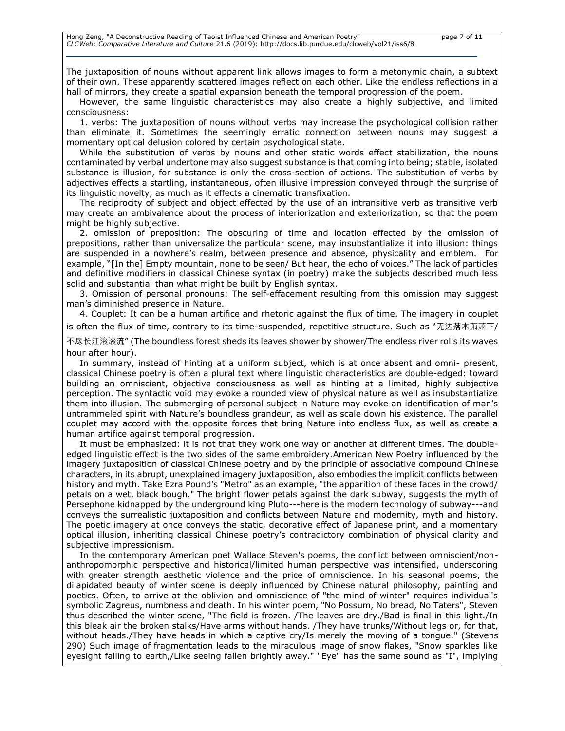The juxtaposition of nouns without apparent link allows images to form a metonymic chain, a subtext of their own. These apparently scattered images reflect on each other. Like the endless reflections in a hall of mirrors, they create a spatial expansion beneath the temporal progression of the poem.

However, the same linguistic characteristics may also create a highly subjective, and limited consciousness:

1. verbs: The juxtaposition of nouns without verbs may increase the psychological collision rather than eliminate it. Sometimes the seemingly erratic connection between nouns may suggest a momentary optical delusion colored by certain psychological state.

While the substitution of verbs by nouns and other static words effect stabilization, the nouns contaminated by verbal undertone may also suggest substance is that coming into being; stable, isolated substance is illusion, for substance is only the cross-section of actions. The substitution of verbs by adjectives effects a startling, instantaneous, often illusive impression conveyed through the surprise of its linguistic novelty, as much as it effects a cinematic transfixation.

The reciprocity of subject and object effected by the use of an intransitive verb as transitive verb may create an ambivalence about the process of interiorization and exteriorization, so that the poem might be highly subjective.

2. omission of preposition: The obscuring of time and location effected by the omission of prepositions, rather than universalize the particular scene, may insubstantialize it into illusion: things are suspended in a nowhere's realm, between presence and absence, physicality and emblem. For example, "[In the] Empty mountain, none to be seen/ But hear, the echo of voices." The lack of particles and definitive modifiers in classical Chinese syntax (in poetry) make the subjects described much less solid and substantial than what might be built by English syntax.

3. Omission of personal pronouns: The self-effacement resulting from this omission may suggest man's diminished presence in Nature.

4. Couplet: It can be a human artifice and rhetoric against the flux of time. The imagery in couplet is often the flux of time, contrary to its time-suspended, repetitive structure. Such as "无边落木萧萧下/

不尽长江滚滚流" (The boundless forest sheds its leaves shower by shower/The endless river rolls its waves hour after hour).

In summary, instead of hinting at a uniform subject, which is at once absent and omni- present, classical Chinese poetry is often a plural text where linguistic characteristics are double-edged: toward building an omniscient, objective consciousness as well as hinting at a limited, highly subjective perception. The syntactic void may evoke a rounded view of physical nature as well as insubstantialize them into illusion. The submerging of personal subject in Nature may evoke an identification of man's untrammeled spirit with Nature's boundless grandeur, as well as scale down his existence. The parallel couplet may accord with the opposite forces that bring Nature into endless flux, as well as create a human artifice against temporal progression.

It must be emphasized: it is not that they work one way or another at different times. The doubleedged linguistic effect is the two sides of the same embroidery.American New Poetry influenced by the imagery juxtaposition of classical Chinese poetry and by the principle of associative compound Chinese characters, in its abrupt, unexplained imagery juxtaposition, also embodies the implicit conflicts between history and myth. Take Ezra Pound's "Metro" as an example, "the apparition of these faces in the crowd/ petals on a wet, black bough." The bright flower petals against the dark subway, suggests the myth of Persephone kidnapped by the underground king Pluto---here is the modern technology of subway---and conveys the surrealistic juxtaposition and conflicts between Nature and modernity, myth and history. The poetic imagery at once conveys the static, decorative effect of Japanese print, and a momentary optical illusion, inheriting classical Chinese poetry's contradictory combination of physical clarity and subjective impressionism.

In the contemporary American poet Wallace Steven's poems, the conflict between omniscient/nonanthropomorphic perspective and historical/limited human perspective was intensified, underscoring with greater strength aesthetic violence and the price of omniscience. In his seasonal poems, the dilapidated beauty of winter scene is deeply influenced by Chinese natural philosophy, painting and poetics. Often, to arrive at the oblivion and omniscience of "the mind of winter" requires individual's symbolic Zagreus, numbness and death. In his winter poem, "No Possum, No bread, No Taters", Steven thus described the winter scene, "The field is frozen. /The leaves are dry./Bad is final in this light./In this bleak air the broken stalks/Have arms without hands. /They have trunks/Without legs or, for that, without heads./They have heads in which a captive cry/Is merely the moving of a tongue." (Stevens 290) Such image of fragmentation leads to the miraculous image of snow flakes, "Snow sparkles like eyesight falling to earth,/Like seeing fallen brightly away." "Eye" has the same sound as "I", implying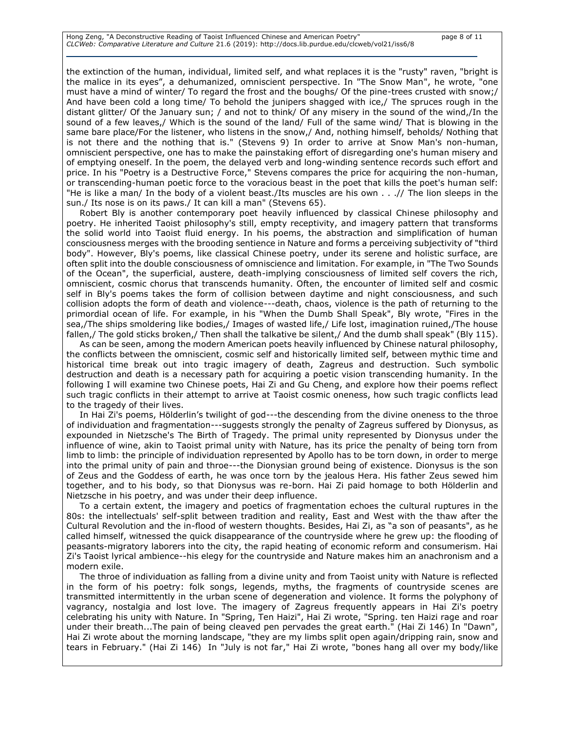the extinction of the human, individual, limited self, and what replaces it is the "rusty" raven, "bright is the malice in its eyes", a dehumanized, omniscient perspective. In "The Snow Man", he wrote, "one must have a mind of winter/ To regard the frost and the boughs/ Of the pine-trees crusted with snow;/ And have been cold a long time/ To behold the junipers shagged with ice,/ The spruces rough in the distant glitter/ Of the January sun; / and not to think/ Of any misery in the sound of the wind,/In the sound of a few leaves,/ Which is the sound of the land/ Full of the same wind/ That is blowing in the same bare place/For the listener, who listens in the snow,/ And, nothing himself, beholds/ Nothing that is not there and the nothing that is." (Stevens 9) In order to arrive at Snow Man's non-human, omniscient perspective, one has to make the painstaking effort of disregarding one's human misery and of emptying oneself. In the poem, the delayed verb and long-winding sentence records such effort and price. In his "Poetry is a Destructive Force," Stevens compares the price for acquiring the non-human, or transcending-human poetic force to the voracious beast in the poet that kills the poet's human self: "He is like a man/ In the body of a violent beast./Its muscles are his own . . .// The lion sleeps in the sun./ Its nose is on its paws./ It can kill a man" (Stevens 65).

Robert Bly is another contemporary poet heavily influenced by classical Chinese philosophy and poetry. He inherited Taoist philosophy's still, empty receptivity, and imagery pattern that transforms the solid world into Taoist fluid energy. In his poems, the abstraction and simplification of human consciousness merges with the brooding sentience in Nature and forms a perceiving subjectivity of "third body". However, Bly's poems, like classical Chinese poetry, under its serene and holistic surface, are often split into the double consciousness of omniscience and limitation. For example, in "The Two Sounds of the Ocean", the superficial, austere, death-implying consciousness of limited self covers the rich, omniscient, cosmic chorus that transcends humanity. Often, the encounter of limited self and cosmic self in Bly's poems takes the form of collision between daytime and night consciousness, and such collision adopts the form of death and violence---death, chaos, violence is the path of returning to the primordial ocean of life. For example, in his "When the Dumb Shall Speak", Bly wrote, "Fires in the sea,/The ships smoldering like bodies,/ Images of wasted life,/ Life lost, imagination ruined,/The house fallen,/ The gold sticks broken,/ Then shall the talkative be silent,/ And the dumb shall speak" (Bly 115).

As can be seen, among the modern American poets heavily influenced by Chinese natural philosophy, the conflicts between the omniscient, cosmic self and historically limited self, between mythic time and historical time break out into tragic imagery of death, Zagreus and destruction. Such symbolic destruction and death is a necessary path for acquiring a poetic vision transcending humanity. In the following I will examine two Chinese poets, Hai Zi and Gu Cheng, and explore how their poems reflect such tragic conflicts in their attempt to arrive at Taoist cosmic oneness, how such tragic conflicts lead to the tragedy of their lives.

In Hai Zi's poems, Hölderlin's twilight of god---the descending from the divine oneness to the throe of individuation and fragmentation---suggests strongly the penalty of Zagreus suffered by Dionysus, as expounded in Nietzsche's The Birth of Tragedy. The primal unity represented by Dionysus under the influence of wine, akin to Taoist primal unity with Nature, has its price the penalty of being torn from limb to limb: the principle of individuation represented by Apollo has to be torn down, in order to merge into the primal unity of pain and throe---the Dionysian ground being of existence. Dionysus is the son of Zeus and the Goddess of earth, he was once torn by the jealous Hera. His father Zeus sewed him together, and to his body, so that Dionysus was re-born. Hai Zi paid homage to both Hölderlin and Nietzsche in his poetry, and was under their deep influence.

To a certain extent, the imagery and poetics of fragmentation echoes the cultural ruptures in the 80s: the intellectuals' self-split between tradition and reality, East and West with the thaw after the Cultural Revolution and the in-flood of western thoughts. Besides, Hai Zi, as "a son of peasants", as he called himself, witnessed the quick disappearance of the countryside where he grew up: the flooding of peasants-migratory laborers into the city, the rapid heating of economic reform and consumerism. Hai Zi's Taoist lyrical ambience--his elegy for the countryside and Nature makes him an anachronism and a modern exile.

The throe of individuation as falling from a divine unity and from Taoist unity with Nature is reflected in the form of his poetry: folk songs, legends, myths, the fragments of countryside scenes are transmitted intermittently in the urban scene of degeneration and violence. It forms the polyphony of vagrancy, nostalgia and lost love. The imagery of Zagreus frequently appears in Hai Zi's poetry celebrating his unity with Nature. In "Spring, Ten Haizi", Hai Zi wrote, "Spring. ten Haizi rage and roar under their breath...The pain of being cleaved pen pervades the great earth." (Hai Zi 146) In "Dawn", Hai Zi wrote about the morning landscape, "they are my limbs split open again/dripping rain, snow and tears in February." (Hai Zi 146) In "July is not far," Hai Zi wrote, "bones hang all over my body/like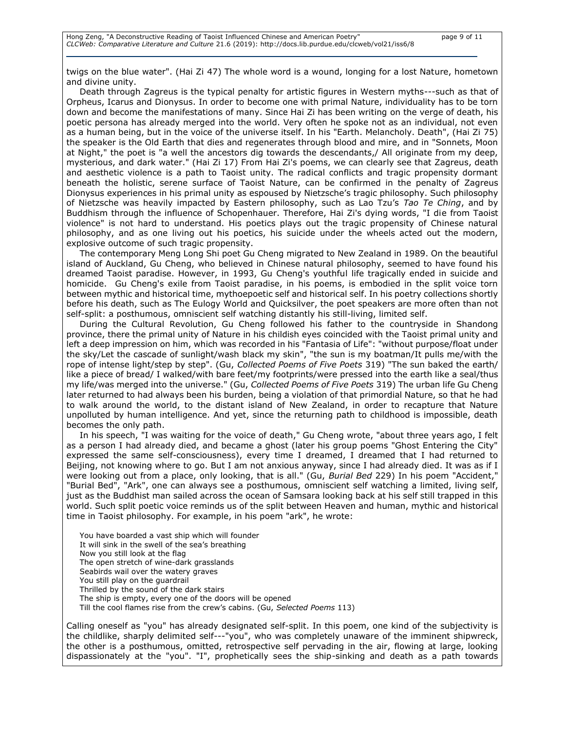twigs on the blue water". (Hai Zi 47) The whole word is a wound, longing for a lost Nature, hometown and divine unity.

Death through Zagreus is the typical penalty for artistic figures in Western myths---such as that of Orpheus, Icarus and Dionysus. In order to become one with primal Nature, individuality has to be torn down and become the manifestations of many. Since Hai Zi has been writing on the verge of death, his poetic persona has already merged into the world. Very often he spoke not as an individual, not even as a human being, but in the voice of the universe itself. In his "Earth. Melancholy. Death", (Hai Zi 75) the speaker is the Old Earth that dies and regenerates through blood and mire, and in "Sonnets, Moon at Night," the poet is "a well the ancestors dig towards the descendants,/ All originate from my deep, mysterious, and dark water." (Hai Zi 17) From Hai Zi's poems, we can clearly see that Zagreus, death and aesthetic violence is a path to Taoist unity. The radical conflicts and tragic propensity dormant beneath the holistic, serene surface of Taoist Nature, can be confirmed in the penalty of Zagreus Dionysus experiences in his primal unity as espoused by Nietzsche's tragic philosophy. Such philosophy of Nietzsche was heavily impacted by Eastern philosophy, such as Lao Tzu's *Tao Te Ching*, and by Buddhism through the influence of Schopenhauer. Therefore, Hai Zi's dying words, "I die from Taoist violence" is not hard to understand. His poetics plays out the tragic propensity of Chinese natural philosophy, and as one living out his poetics, his suicide under the wheels acted out the modern, explosive outcome of such tragic propensity.

The contemporary Meng Long Shi poet Gu Cheng migrated to New Zealand in 1989. On the beautiful island of Auckland, Gu Cheng, who believed in Chinese natural philosophy, seemed to have found his dreamed Taoist paradise. However, in 1993, Gu Cheng's youthful life tragically ended in suicide and homicide. Gu Cheng's exile from Taoist paradise, in his poems, is embodied in the split voice torn between mythic and historical time, mythoepoetic self and historical self. In his poetry collections shortly before his death, such as The Eulogy World and Quicksilver, the poet speakers are more often than not self-split: a posthumous, omniscient self watching distantly his still-living, limited self.

During the Cultural Revolution, Gu Cheng followed his father to the countryside in Shandong province, there the primal unity of Nature in his childish eyes coincided with the Taoist primal unity and left a deep impression on him, which was recorded in his "Fantasia of Life": "without purpose/float under the sky/Let the cascade of sunlight/wash black my skin", "the sun is my boatman/It pulls me/with the rope of intense light/step by step". (Gu, *Collected Poems of Five Poets* 319) "The sun baked the earth/ like a piece of bread/ I walked/with bare feet/my footprints/were pressed into the earth like a seal/thus my life/was merged into the universe." (Gu, *Collected Poems of Five Poets* 319) The urban life Gu Cheng later returned to had always been his burden, being a violation of that primordial Nature, so that he had to walk around the world, to the distant island of New Zealand, in order to recapture that Nature unpolluted by human intelligence. And yet, since the returning path to childhood is impossible, death becomes the only path.

In his speech, "I was waiting for the voice of death," Gu Cheng wrote, "about three years ago, I felt as a person I had already died, and became a ghost (later his group poems "Ghost Entering the City" expressed the same self-consciousness), every time I dreamed, I dreamed that I had returned to Beijing, not knowing where to go. But I am not anxious anyway, since I had already died. It was as if I were looking out from a place, only looking, that is all." (Gu, *Burial Bed* 229) In his poem "Accident," "Burial Bed", "Ark", one can always see a posthumous, omniscient self watching a limited, living self, just as the Buddhist man sailed across the ocean of Samsara looking back at his self still trapped in this world. Such split poetic voice reminds us of the split between Heaven and human, mythic and historical time in Taoist philosophy. For example, in his poem "ark", he wrote:

You have boarded a vast ship which will founder It will sink in the swell of the sea's breathing Now you still look at the flag The open stretch of wine-dark grasslands Seabirds wail over the watery graves You still play on the guardrail Thrilled by the sound of the dark stairs The ship is empty, every one of the doors will be opened Till the cool flames rise from the crew's cabins. (Gu, *Selected Poems* 113)

Calling oneself as "you" has already designated self-split. In this poem, one kind of the subjectivity is the childlike, sharply delimited self---"you", who was completely unaware of the imminent shipwreck, the other is a posthumous, omitted, retrospective self pervading in the air, flowing at large, looking dispassionately at the "you". "I", prophetically sees the ship-sinking and death as a path towards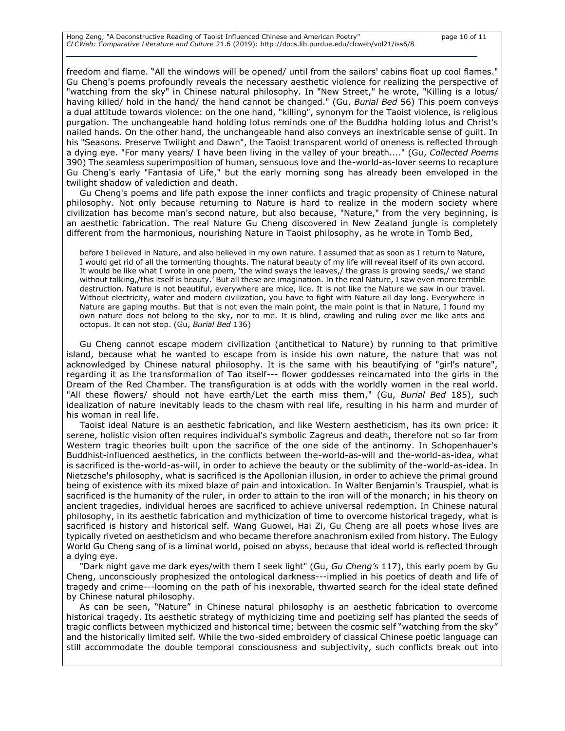Hong Zeng, "A Deconstructive Reading of Taoist Influenced Chinese and American Poetry" page 10 of 11 *CLCWeb: Comparative Literature and Culture* 21.6 (2019): http://docs.lib.purdue.edu/clcweb/vol21/iss6/8

freedom and flame. "All the windows will be opened/ until from the sailors' cabins float up cool flames." Gu Cheng's poems profoundly reveals the necessary aesthetic violence for realizing the perspective of "watching from the sky" in Chinese natural philosophy. In "New Street," he wrote, "Killing is a lotus/ having killed/ hold in the hand/ the hand cannot be changed." (Gu, *Burial Bed* 56) This poem conveys a dual attitude towards violence: on the one hand, "killing", synonym for the Taoist violence, is religious purgation. The unchangeable hand holding lotus reminds one of the Buddha holding lotus and Christ's nailed hands. On the other hand, the unchangeable hand also conveys an inextricable sense of guilt. In his "Seasons. Preserve Twilight and Dawn", the Taoist transparent world of oneness is reflected through a dying eye. "For many years/ I have been living in the valley of your breath...." (Gu, *Collected Poems*  390) The seamless superimposition of human, sensuous love and the-world-as-lover seems to recapture Gu Cheng's early "Fantasia of Life," but the early morning song has already been enveloped in the twilight shadow of valediction and death.

Gu Cheng's poems and life path expose the inner conflicts and tragic propensity of Chinese natural philosophy. Not only because returning to Nature is hard to realize in the modern society where civilization has become man's second nature, but also because, "Nature," from the very beginning, is an aesthetic fabrication. The real Nature Gu Cheng discovered in New Zealand jungle is completely different from the harmonious, nourishing Nature in Taoist philosophy, as he wrote in Tomb Bed,

before I believed in Nature, and also believed in my own nature. I assumed that as soon as I return to Nature, I would get rid of all the tormenting thoughts. The natural beauty of my life will reveal itself of its own accord. It would be like what I wrote in one poem, 'the wind sways the leaves,/ the grass is growing seeds,/ we stand without talking,/this itself is beauty.' But all these are imagination. In the real Nature, I saw even more terrible destruction. Nature is not beautiful, everywhere are mice, lice. It is not like the Nature we saw in our travel. Without electricity, water and modern civilization, you have to fight with Nature all day long. Everywhere in Nature are gaping mouths. But that is not even the main point, the main point is that in Nature, I found my own nature does not belong to the sky, nor to me. It is blind, crawling and ruling over me like ants and octopus. It can not stop. (Gu, *Burial Bed* 136)

Gu Cheng cannot escape modern civilization (antithetical to Nature) by running to that primitive island, because what he wanted to escape from is inside his own nature, the nature that was not acknowledged by Chinese natural philosophy. It is the same with his beautifying of "girl's nature", regarding it as the transformation of Tao itself--- flower goddesses reincarnated into the girls in the Dream of the Red Chamber. The transfiguration is at odds with the worldly women in the real world. "All these flowers/ should not have earth/Let the earth miss them," (Gu, *Burial Bed* 185), such idealization of nature inevitably leads to the chasm with real life, resulting in his harm and murder of his woman in real life.

Taoist ideal Nature is an aesthetic fabrication, and like Western aestheticism, has its own price: it serene, holistic vision often requires individual's symbolic Zagreus and death, therefore not so far from Western tragic theories built upon the sacrifice of the one side of the antinomy. In Schopenhauer's Buddhist-influenced aesthetics, in the conflicts between the-world-as-will and the-world-as-idea, what is sacrificed is the-world-as-will, in order to achieve the beauty or the sublimity of the-world-as-idea. In Nietzsche's philosophy, what is sacrificed is the Apollonian illusion, in order to achieve the primal ground being of existence with its mixed blaze of pain and intoxication. In Walter Benjamin's Trauspiel, what is sacrificed is the humanity of the ruler, in order to attain to the iron will of the monarch; in his theory on ancient tragedies, individual heroes are sacrificed to achieve universal redemption. In Chinese natural philosophy, in its aesthetic fabrication and mythicization of time to overcome historical tragedy, what is sacrificed is history and historical self. Wang Guowei, Hai Zi, Gu Cheng are all poets whose lives are typically riveted on aestheticism and who became therefore anachronism exiled from history. The Eulogy World Gu Cheng sang of is a liminal world, poised on abyss, because that ideal world is reflected through a dying eye.

"Dark night gave me dark eyes/with them I seek light" (Gu, *Gu Cheng's* 117), this early poem by Gu Cheng, unconsciously prophesized the ontological darkness---implied in his poetics of death and life of tragedy and crime---looming on the path of his inexorable, thwarted search for the ideal state defined by Chinese natural philosophy.

As can be seen, "Nature" in Chinese natural philosophy is an aesthetic fabrication to overcome historical tragedy. Its aesthetic strategy of mythicizing time and poetizing self has planted the seeds of tragic conflicts between mythicized and historical time; between the cosmic self "watching from the sky" and the historically limited self. While the two-sided embroidery of classical Chinese poetic language can still accommodate the double temporal consciousness and subjectivity, such conflicts break out into